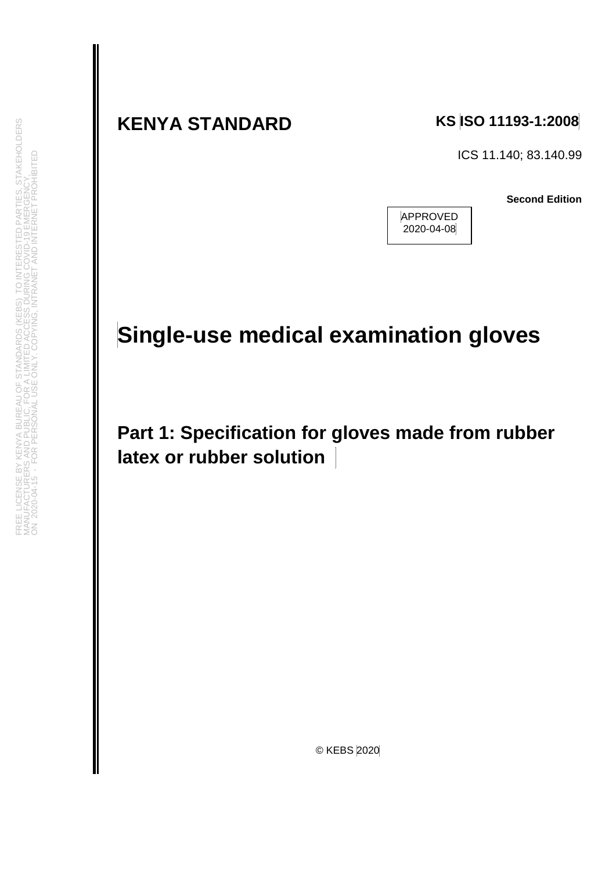# **KENYA STANDARD KS ISO 11193-1:2008**

ICS 11.140; 83.140.99

**Second Edition**

APPROVED 2020-04-08

# **Single-use medical examination gloves**

**Part 1: Specification for gloves made from rubber latex or rubber solution**

**STAKEHOLDERS** 

**FROHIBITED** 

© KEBS 2020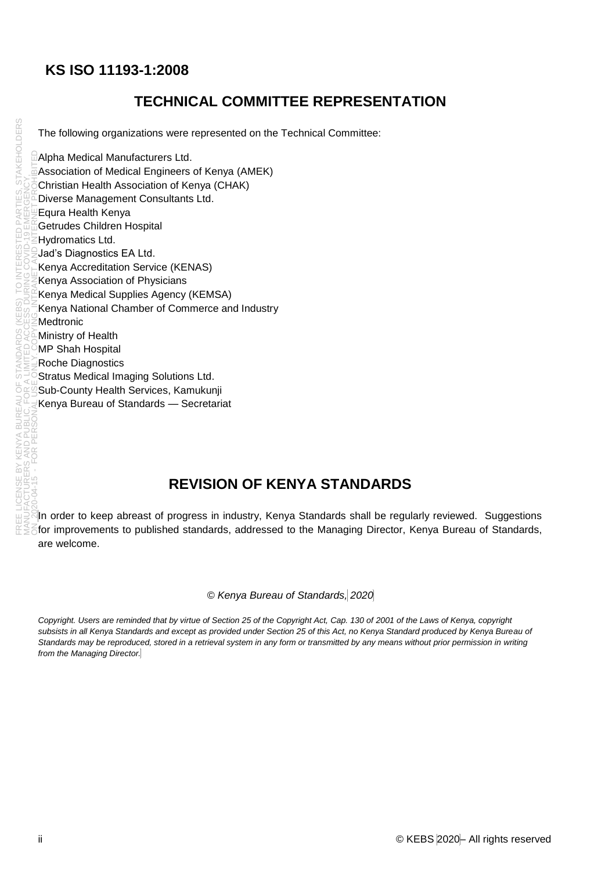# **KS ISO 11193-1:2008**

# **TECHNICAL COMMITTEE REPRESENTATION**

The following organizations were represented on the Technical Committee:

Alpha Medical Manufacturers Ltd. Association of Medical Engineers of Kenya (AMEK) Christian Health Association of Kenya (CHAK) Diverse Management Consultants Ltd. Equra Health Kenya Getrudes Children Hospital Hydromatics Ltd. Jad's Diagnostics EA Ltd. Kenya Accreditation Service (KENAS) Kenya Association of Physicians Kenya Medical Supplies Agency (KEMSA) Kenya National Chamber of Commerce and Industry Medtronic Ministry of Health MP Shah Hospital Roche Diagnostics Stratus Medical Imaging Solutions Ltd. Sub-County Health Services, Kamukunji Kenya Bureau of Standards — Secretariat ON 2020-04-15 - FOR PERSONAL USE ONLY. COPYING, INTRANET AND INTERNET PROHIBITED

# **REVISION OF KENYA STANDARDS**

In order to keep abreast of progress in industry, Kenya Standards shall be regularly reviewed. Suggestions  $\bar{\epsilon}$ for improvements to published standards, addressed to the Managing Director, Kenya Bureau of Standards, are welcome.

*© Kenya Bureau of Standards, 2020*

*Copyright. Users are reminded that by virtue of Section 25 of the Copyright Act, Cap. 130 of 2001 of the Laws of Kenya, copyright subsists in all Kenya Standards and except as provided under Section 25 of this Act, no Kenya Standard produced by Kenya Bureau of*  Standards may be reproduced, stored in a retrieval system in any form or transmitted by any means without prior permission in writing *from the Managing Director.*

**STAKEHOLDERS**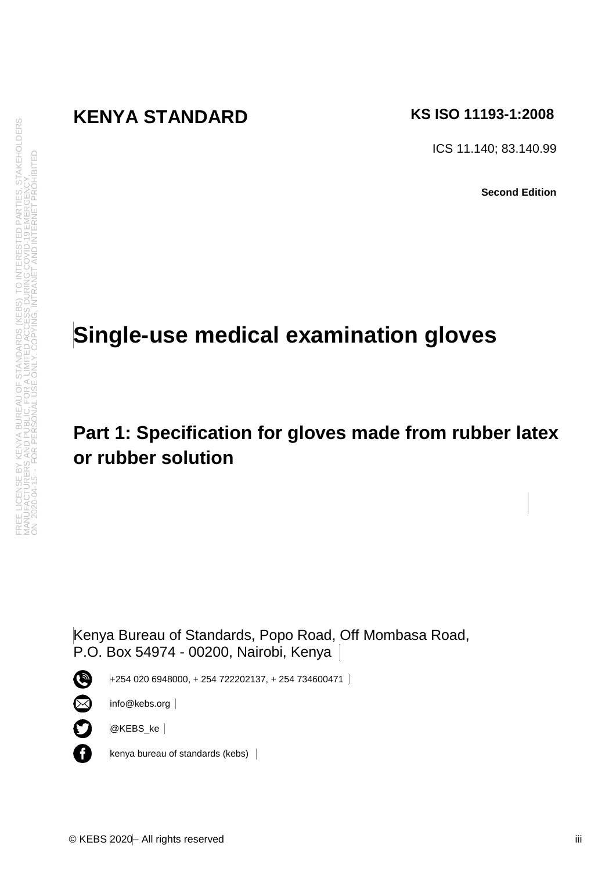# **KENYA STANDARD KS ISO 11193-1:2008**

ICS 11.140; 83.140.99

**Second Edition**

# **Single-use medical examination gloves**

# **Part 1: Specification for gloves made from rubber latex or rubber solution**

Kenya Bureau of Standards, Popo Road, Off Mombasa Road, P.O. Box 54974 - 00200, Nairobi, Kenya

O

+254 020 6948000, + 254 722202137, + 254 734600471



A

info@kebs.org

@KEBS\_ke

kenya bureau of standards (kebs)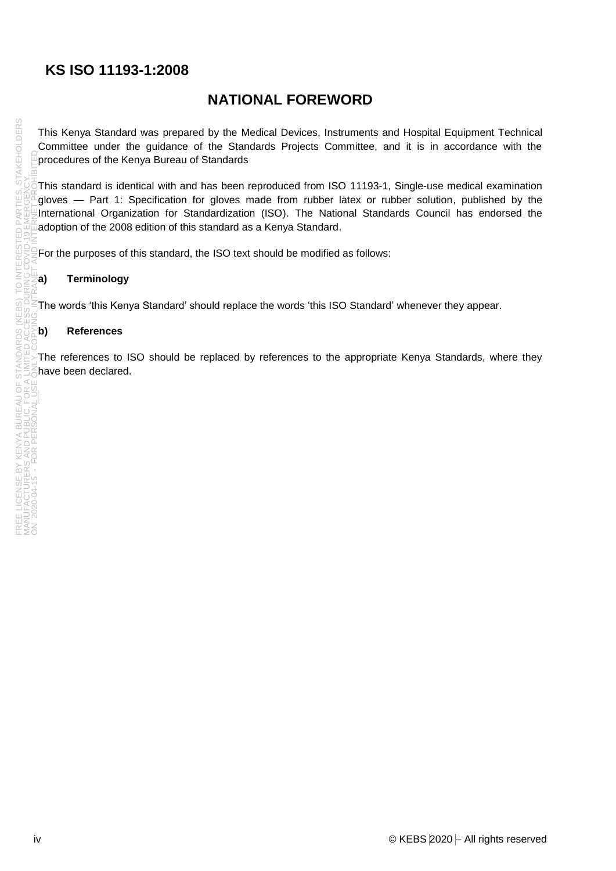# **KS ISO 11193-1:2008**

# **NATIONAL FOREWORD**

This Kenya Standard was prepared by the Medical Devices, Instruments and Hospital Equipment Technical Committee under the guidance of the Standards Projects Committee, and it is in accordance with the procedures of the Kenya Bureau of Standards

This standard is identical with and has been reproduced from ISO 11193-1, Single-use medical examination gloves — Part 1: Specification for gloves made from rubber latex or rubber solution, published by the International Organization for Standardization (ISO). The National Standards Council has endorsed the adoption of the 2008 edition of this standard as a Kenya Standard.

For the purposes of this standard, the ISO text should be modified as follows:

#### **a) Terminology**

The words 'this Kenya Standard' should replace the words 'this ISO Standard' whenever they appear.

#### **b) References**

The references to ISO should be replaced by references to the appropriate Kenya Standards, where they have been declared.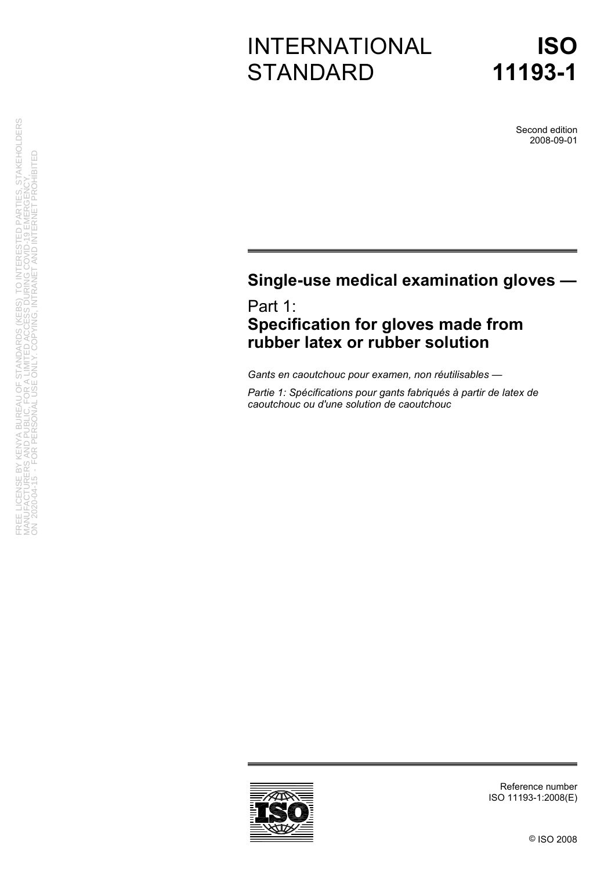# INTERNATIONAL **STANDARD**

Second edition 2008-09-01

# **Single-use medical examination gloves —**

Part 1: **Specification for gloves made from rubber latex or rubber solution** 

*Gants en caoutchouc pour examen, non réutilisables —* 

*Partie 1: Spécifications pour gants fabriqués à partir de latex de caoutchouc ou d'une solution de caoutchouc* 

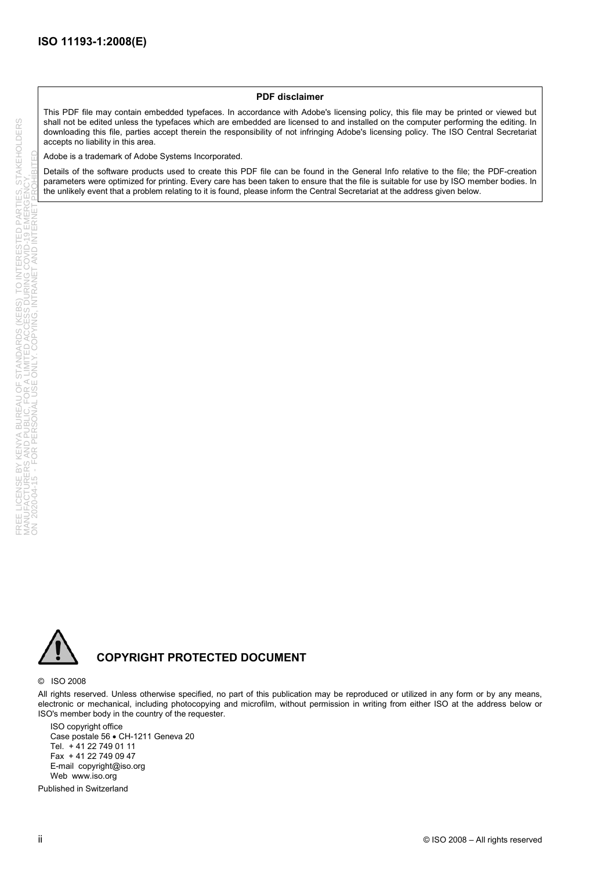#### **PDF disclaimer**

This PDF file may contain embedded typefaces. In accordance with Adobe's licensing policy, this file may be printed or viewed but shall not be edited unless the typefaces which are embedded are licensed to and installed on the computer performing the editing. In downloading this file, parties accept therein the responsibility of not infringing Adobe's licensing policy. The ISO Central Secretariat accepts no liability in this area.

Adobe is a trademark of Adobe Systems Incorporated.

Details of the software products used to create this PDF file can be found in the General Info relative to the file; the PDF-creation parameters were optimized for printing. Every care has been taken to ensure that the file is suitable for use by ISO member bodies. In the unlikely event that a problem relating to it is found, please inform the Central Secretariat at the address given below.



#### **COPYRIGHT PROTECTED DOCUMENT**

#### © ISO 2008

All rights reserved. Unless otherwise specified, no part of this publication may be reproduced or utilized in any form or by any means, electronic or mechanical, including photocopying and microfilm, without permission in writing from either ISO at the address below or ISO's member body in the country of the requester.

ISO copyright office Case postale 56 • CH-1211 Geneva 20 Tel. + 41 22 749 01 11 Fax + 41 22 749 09 47 E-mail copyright@iso.org Web www.iso.org

Published in Switzerland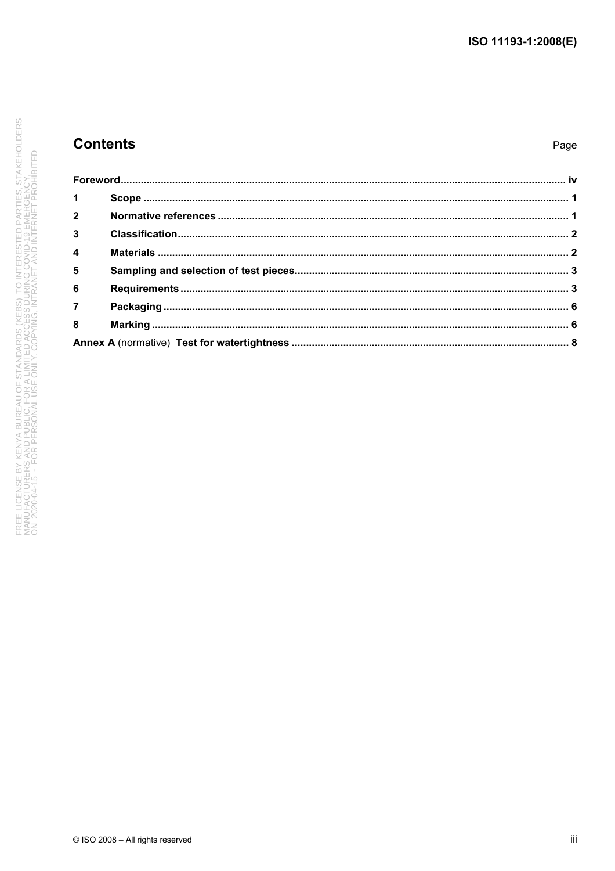### **Contents**

#### Page

| $\mathbf{1}$            |  |  |  |  |  |
|-------------------------|--|--|--|--|--|
| $\overline{2}$          |  |  |  |  |  |
| $\overline{\mathbf{3}}$ |  |  |  |  |  |
| $\overline{4}$          |  |  |  |  |  |
| 5                       |  |  |  |  |  |
| 6                       |  |  |  |  |  |
|                         |  |  |  |  |  |
| $\overline{\mathbf{8}}$ |  |  |  |  |  |
|                         |  |  |  |  |  |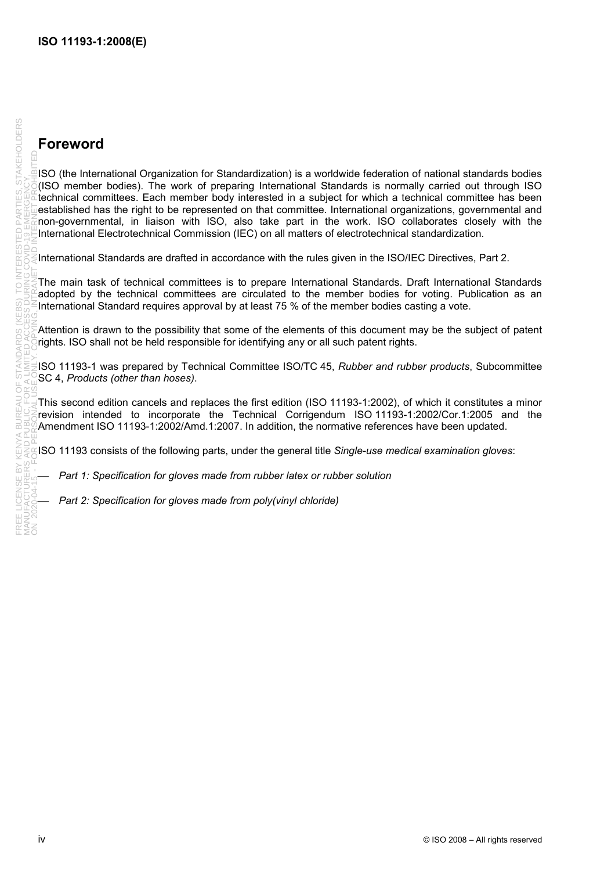# **Foreword**

ISO (the International Organization for Standardization) is a worldwide federation of national standards bodies (ISO member bodies). The work of preparing International Standards is normally carried out through ISO technical committees. Each member body interested in a subject for which a technical committee has been established has the right to be represented on that committee. International organizations, governmental and non-governmental, in liaison with ISO, also take part in the work. ISO collaborates closely with the International Electrotechnical Commission (IEC) on all matters of electrotechnical standardization.

International Standards are drafted in accordance with the rules given in the ISO/IEC Directives, Part 2.

The main task of technical committees is to prepare International Standards. Draft International Standards adopted by the technical committees are circulated to the member bodies for voting. Publication as an International Standard requires approval by at least 75 % of the member bodies casting a vote.

Attention is drawn to the possibility that some of the elements of this document may be the subject of patent rights. ISO shall not be held responsible for identifying any or all such patent rights.

ISO 11193-1 was prepared by Technical Committee ISO/TC 45, *Rubber and rubber products*, Subcommittee SC 4, *Products (other than hoses)*.

This second edition cancels and replaces the first edition (ISO 11193-1:2002), of which it constitutes a minor revision intended to incorporate the Technical Corrigendum ISO 11193-1:2002/Cor.1:2005 and the Amendment ISO 11193-1:2002/Amd.1:2007. In addition, the normative references have been updated.

ISO 11193 consists of the following parts, under the general title *Single-use medical examination gloves*:

Part 1: Specification for gloves made from rubber latex or rubber solution

Part 2: Specification for gloves made from poly(vinyl chloride)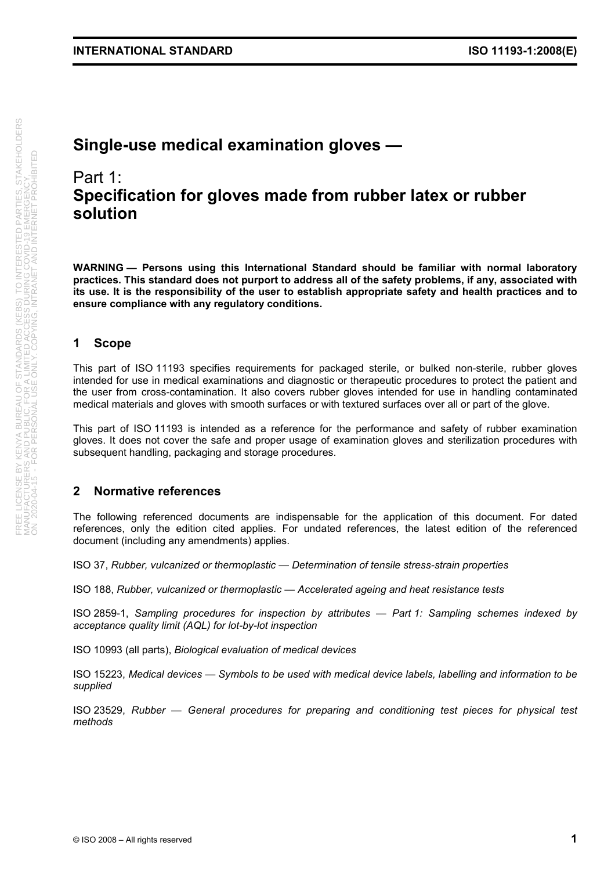# **Single-use medical examination gloves —**

# Part 1: **Specification for gloves made from rubber latex or rubber solution**

**WARNING — Persons using this International Standard should be familiar with normal laboratory practices. This standard does not purport to address all of the safety problems, if any, associated with its use. It is the responsibility of the user to establish appropriate safety and health practices and to ensure compliance with any regulatory conditions.** 

#### **1 Scope**

This part of ISO 11193 specifies requirements for packaged sterile, or bulked non-sterile, rubber gloves intended for use in medical examinations and diagnostic or therapeutic procedures to protect the patient and the user from cross-contamination. It also covers rubber gloves intended for use in handling contaminated medical materials and gloves with smooth surfaces or with textured surfaces over all or part of the glove.

This part of ISO 11193 is intended as a reference for the performance and safety of rubber examination gloves. It does not cover the safe and proper usage of examination gloves and sterilization procedures with subsequent handling, packaging and storage procedures.

#### **2 Normative references**

The following referenced documents are indispensable for the application of this document. For dated references, only the edition cited applies. For undated references, the latest edition of the referenced document (including any amendments) applies.

ISO 37, *Rubber, vulcanized or thermoplastic — Determination of tensile stress-strain properties*

ISO 188, *Rubber, vulcanized or thermoplastic — Accelerated ageing and heat resistance tests*

ISO 2859-1, *Sampling procedures for inspection by attributes — Part 1: Sampling schemes indexed by acceptance quality limit (AQL) for lot-by-lot inspection*

ISO 10993 (all parts), *Biological evaluation of medical devices*

ISO 15223, *Medical devices — Symbols to be used with medical device labels, labelling and information to be supplied*

ISO 23529, *Rubber — General procedures for preparing and conditioning test pieces for physical test methods*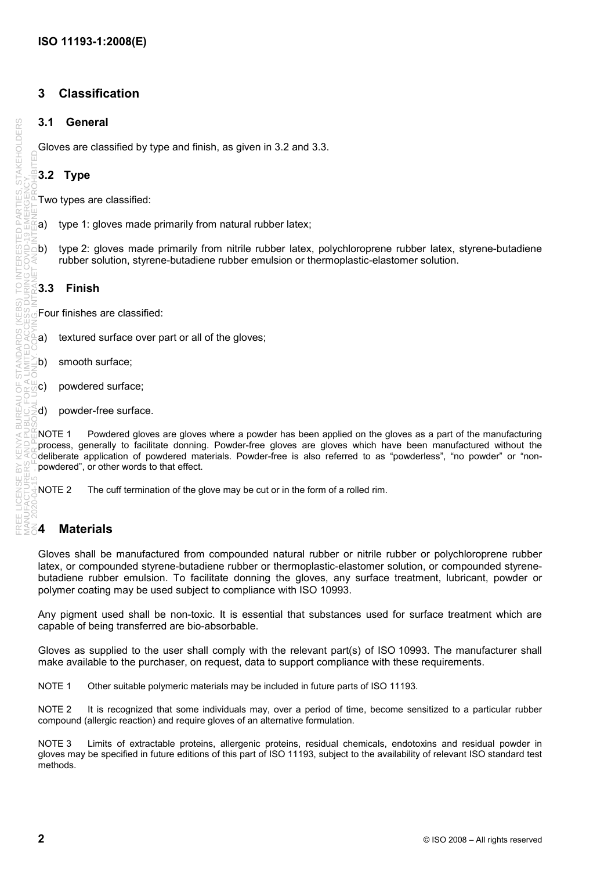### **3 Classification**

#### **3.1 General**

Gloves are classified by type and finish, as given in 3.2 and 3.3.

#### **3.2 Type**

Two types are classified:

- a) type 1: gloves made primarily from natural rubber latex;
- b) type 2: gloves made primarily from nitrile rubber latex, polychloroprene rubber latex, styrene-butadiene rubber solution, styrene-butadiene rubber emulsion or thermoplastic-elastomer solution.

#### **3.3 Finish**

FREE LICENSE BY KENYA BUREAU OF STANDARDS (KEBS) TO INTERESTED PARTIES, STAKEHOLDERS MANUFACTURERS AND PUBLIC, FOR A LIMITED ACCESS DURING COVID-19 EMERGENCY,

RFAI  $\overline{a}$ 

**STAKEHOLDERS** 

Four finishes are classified:

- a) textured surface over part or all of the gloves;
- b) smooth surface;
- c) powdered surface;
- d) powder-free surface.

NOTE 1 Powdered gloves are gloves where a powder has been applied on the gloves as a part of the manufacturing process, generally to facilitate donning. Powder-free gloves are gloves which have been manufactured without the deliberate application of powdered materials. Powder-free is also referred to as "powderless", "no powder" or "nonpowdered", or other words to that effect. ON 2020-04-15 - FOR PERSONAL USE ONLY. COPYING, INTRANET AND INTERNET PROHIBITED

NOTE 2 The cuff termination of the glove may be cut or in the form of a rolled rim.

#### **4 Materials**

Gloves shall be manufactured from compounded natural rubber or nitrile rubber or polychloroprene rubber latex, or compounded styrene-butadiene rubber or thermoplastic-elastomer solution, or compounded styrenebutadiene rubber emulsion. To facilitate donning the gloves, any surface treatment, lubricant, powder or polymer coating may be used subject to compliance with ISO 10993.

Any pigment used shall be non-toxic. It is essential that substances used for surface treatment which are capable of being transferred are bio-absorbable.

Gloves as supplied to the user shall comply with the relevant part(s) of ISO 10993. The manufacturer shall make available to the purchaser, on request, data to support compliance with these requirements.

NOTE 1 Other suitable polymeric materials may be included in future parts of ISO 11193.

NOTE 2 It is recognized that some individuals may, over a period of time, become sensitized to a particular rubber compound (allergic reaction) and require gloves of an alternative formulation.

NOTE 3 Limits of extractable proteins, allergenic proteins, residual chemicals, endotoxins and residual powder in gloves may be specified in future editions of this part of ISO 11193, subject to the availability of relevant ISO standard test methods.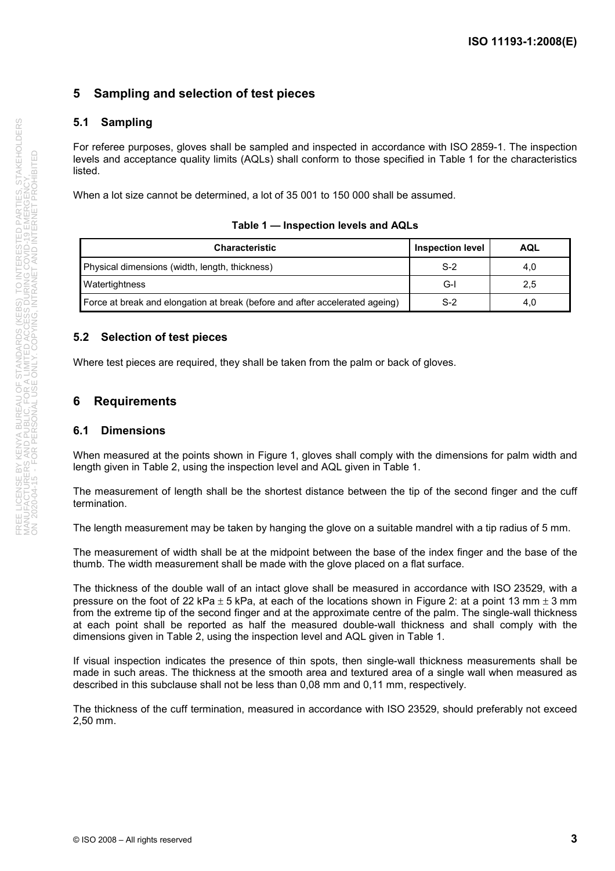### **5 Sampling and selection of test pieces**

#### **5.1 Sampling**

For referee purposes, gloves shall be sampled and inspected in accordance with ISO 2859-1. The inspection levels and acceptance quality limits (AQLs) shall conform to those specified in Table 1 for the characteristics listed.

When a lot size cannot be determined, a lot of 35 001 to 150 000 shall be assumed.

| Table 1 - Inspection levels and AQLs |  |
|--------------------------------------|--|
|--------------------------------------|--|

| <b>Characteristic</b>                                                        | <b>Inspection level</b> | AQL |
|------------------------------------------------------------------------------|-------------------------|-----|
| Physical dimensions (width, length, thickness)                               | $S-2$                   | 4,0 |
| Watertightness                                                               | G-l                     | 2,5 |
| Force at break and elongation at break (before and after accelerated ageing) | $S-2$                   | 4,0 |

#### **5.2 Selection of test pieces**

Where test pieces are required, they shall be taken from the palm or back of gloves.

#### **6 Requirements**

#### **6.1 Dimensions**

When measured at the points shown in Figure 1, gloves shall comply with the dimensions for palm width and length given in Table 2, using the inspection level and AQL given in Table 1.

The measurement of length shall be the shortest distance between the tip of the second finger and the cuff termination.

The length measurement may be taken by hanging the glove on a suitable mandrel with a tip radius of 5 mm.

The measurement of width shall be at the midpoint between the base of the index finger and the base of the thumb. The width measurement shall be made with the glove placed on a flat surface.

The thickness of the double wall of an intact glove shall be measured in accordance with ISO 23529, with a pressure on the foot of 22 kPa  $\pm$  5 kPa, at each of the locations shown in Figure 2: at a point 13 mm  $\pm$  3 mm from the extreme tip of the second finger and at the approximate centre of the palm. The single-wall thickness at each point shall be reported as half the measured double-wall thickness and shall comply with the dimensions given in Table 2, using the inspection level and AQL given in Table 1.

If visual inspection indicates the presence of thin spots, then single-wall thickness measurements shall be made in such areas. The thickness at the smooth area and textured area of a single wall when measured as described in this subclause shall not be less than 0,08 mm and 0,11 mm, respectively.

The thickness of the cuff termination, measured in accordance with ISO 23529, should preferably not exceed 2,50 mm.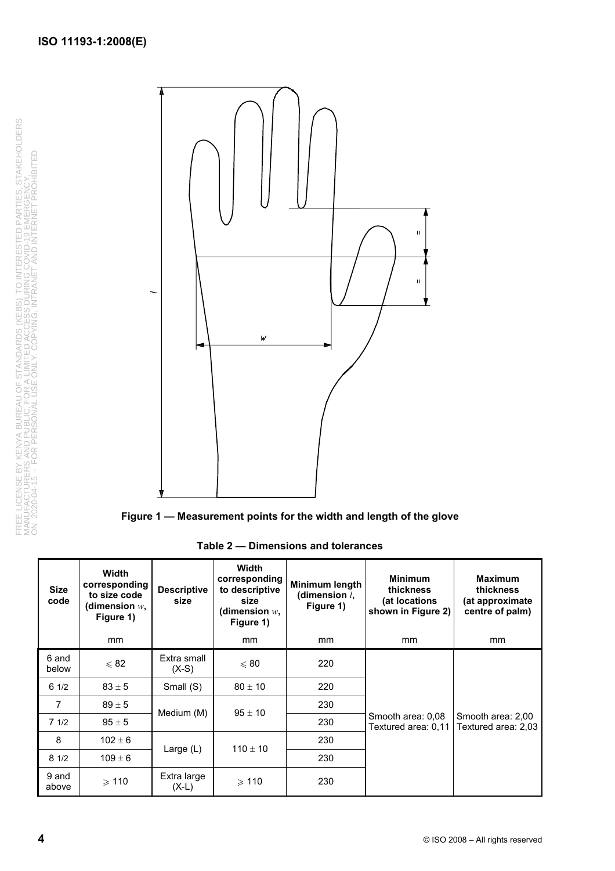FREE LICENSE BY KENYA BUREAU OF STANDARDS (KEBS) TO INTERESTED PARTIES, STAKEHOLDERS<br>MANUFACTURERS AND PUBLIC, FOR A LIMITED ACCESS DURING COVID-19 EMERGENCY,<br>ON 2020-04-15 - FOR PERSONAL USE ONLY. COPYING, INTRANET AND IN FREE LICENSE BY KENYA BUREAU OF STANDARDS (KEBS) TO INTERESTED PARTIES, STAKEHOLDERS MANUFACTURERS AND PUBLIC, FOR A LIMITED ACCESS DURING COVID-19 EMERGENCY, ON 2020-04-15 - FOR PERSONAL USE ONLY. COPYING, INTRANET AND INTERNET PROHIBITED





**Table 2 — Dimensions and tolerances** 

| <b>Size</b><br>code | Width<br>corresponding<br>to size code<br>(dimension $w$ ,<br>Figure 1) | <b>Descriptive</b><br>size | <b>Width</b><br>corresponding<br>to descriptive<br>size<br>(dimension $w_\star$<br>Figure 1) | Minimum length<br>(dimension $l$ ,<br>Figure 1) | <b>Minimum</b><br>thickness<br>(at locations<br>shown in Figure 2) | <b>Maximum</b><br>thickness<br>(at approximate<br>centre of palm) |
|---------------------|-------------------------------------------------------------------------|----------------------------|----------------------------------------------------------------------------------------------|-------------------------------------------------|--------------------------------------------------------------------|-------------------------------------------------------------------|
|                     | mm                                                                      |                            | mm                                                                                           | mm                                              | <sub>mm</sub>                                                      | <sub>mm</sub>                                                     |
| 6 and<br>below      | $\leqslant$ 82                                                          | Extra small<br>$(X-S)$     | $\leqslant 80$                                                                               | 220                                             |                                                                    |                                                                   |
| 61/2                | $83 \pm 5$                                                              | Small (S)                  | $80 \pm 10$                                                                                  | 220                                             |                                                                    |                                                                   |
| $\overline{7}$      | $89 \pm 5$                                                              |                            | $95 \pm 10$                                                                                  | 230                                             |                                                                    |                                                                   |
| 71/2                | $95 \pm 5$                                                              | Medium (M)                 |                                                                                              | 230                                             | Smooth area: 0,08<br>Textured area: 0,11                           | Smooth area: 2,00<br>Textured area: 2,03                          |
| 8                   | $102 \pm 6$                                                             |                            | $110 \pm 10$                                                                                 | 230                                             |                                                                    |                                                                   |
| 81/2                | $109 \pm 6$                                                             | Large $(L)$                |                                                                                              | 230                                             |                                                                    |                                                                   |
| 9 and<br>above      | $\geqslant$ 110                                                         | Extra large<br>$(X-L)$     | $\geqslant$ 110                                                                              | 230                                             |                                                                    |                                                                   |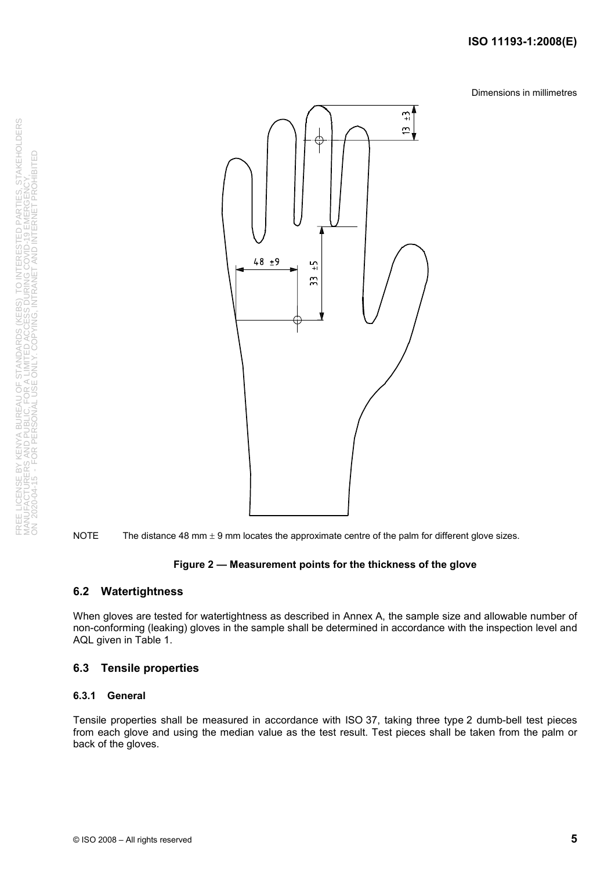Dimensions in millimetres



NOTE The distance 48 mm  $\pm$  9 mm locates the approximate centre of the palm for different glove sizes.

#### **Figure 2 — Measurement points for the thickness of the glove**

#### **6.2 Watertightness**

When gloves are tested for watertightness as described in Annex A, the sample size and allowable number of non-conforming (leaking) gloves in the sample shall be determined in accordance with the inspection level and AQL given in Table 1.

#### **6.3 Tensile properties**

#### **6.3.1 General**

Tensile properties shall be measured in accordance with ISO 37, taking three type 2 dumb-bell test pieces from each glove and using the median value as the test result. Test pieces shall be taken from the palm or back of the gloves.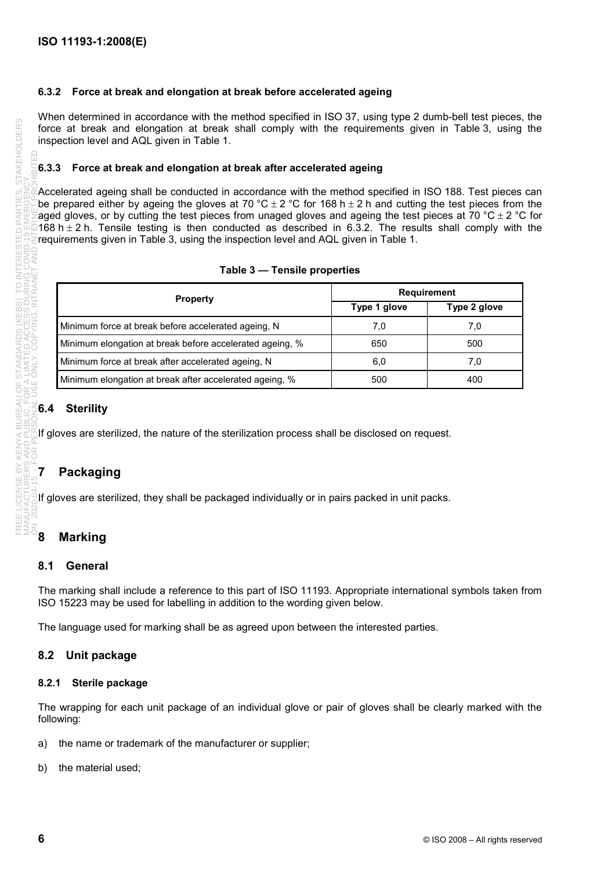#### **6.3.2 Force at break and elongation at break before accelerated ageing**

When determined in accordance with the method specified in ISO 37, using type 2 dumb-bell test pieces, the force at break and elongation at break shall comply with the requirements given in Table 3, using the inspection level and AQL given in Table 1.

#### **6.3.3 Force at break and elongation at break after accelerated ageing**

 $\beta$ Accelerated ageing shall be conducted in accordance with the method specified in ISO 188. Test pieces can be prepared either by ageing the gloves at 70 °C  $\pm$  2 °C for 168 h  $\pm$  2 h and cutting the test pieces from the aged gloves, or by cutting the test pieces from unaged gloves and ageing the test pieces at 70 °C  $\pm$  2 °C for 168 h  $\pm$  2 h. Tensile testing is then conducted as described in 6.3.2. The results shall comply with the requirements given in Table 3, using the inspection level and AQL given in Table 1.

|  |  |  | Table 3 - Tensile properties |
|--|--|--|------------------------------|
|--|--|--|------------------------------|

| <b>Property</b>                                          | <b>Requirement</b> |              |  |
|----------------------------------------------------------|--------------------|--------------|--|
|                                                          | Type 1 glove       | Type 2 glove |  |
| Minimum force at break before accelerated ageing, N      | 7.0                | 7.0          |  |
| Minimum elongation at break before accelerated ageing, % | 650                | 500          |  |
| Minimum force at break after accelerated ageing, N       | 6,0                | 7.0          |  |
| Minimum elongation at break after accelerated ageing, %  | 500                | 400          |  |

#### **6.4 Sterility**

If gloves are sterilized, the nature of the sterilization process shall be disclosed on request.

### **7 Packaging**

If gloves are sterilized, they shall be packaged individually or in pairs packed in unit packs.

### **8 Marking**

#### **8.1 General**

The marking shall include a reference to this part of ISO 11193. Appropriate international symbols taken from ISO 15223 may be used for labelling in addition to the wording given below.

The language used for marking shall be as agreed upon between the interested parties.

#### **8.2 Unit package**

#### **8.2.1 Sterile package**

The wrapping for each unit package of an individual glove or pair of gloves shall be clearly marked with the following:

- a) the name or trademark of the manufacturer or supplier;
- b) the material used;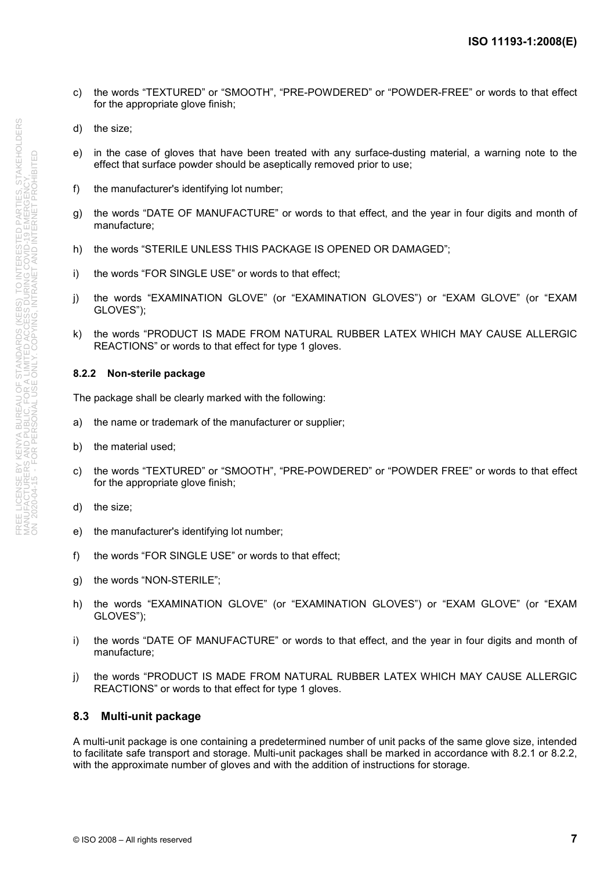- c) the words "TEXTURED" or "SMOOTH", "PRE-POWDERED" or "POWDER-FREE" or words to that effect for the appropriate glove finish;
- d) the size;
- e) in the case of gloves that have been treated with any surface-dusting material, a warning note to the effect that surface powder should be aseptically removed prior to use;
- f) the manufacturer's identifying lot number:
- g) the words "DATE OF MANUFACTURE" or words to that effect, and the year in four digits and month of manufacture;
- h) the words "STERILE UNLESS THIS PACKAGE IS OPENED OR DAMAGED";
- i) the words "FOR SINGLE USE" or words to that effect;
- j) the words "EXAMINATION GLOVE" (or "EXAMINATION GLOVES") or "EXAM GLOVE" (or "EXAM GLOVES");
- k) the words "PRODUCT IS MADE FROM NATURAL RUBBER LATEX WHICH MAY CAUSE ALLERGIC REACTIONS" or words to that effect for type 1 gloves.

#### **8.2.2 Non-sterile package**

The package shall be clearly marked with the following:

- a) the name or trademark of the manufacturer or supplier;
- b) the material used;
- c) the words "TEXTURED" or "SMOOTH", "PRE-POWDERED" or "POWDER FREE" or words to that effect for the appropriate glove finish;
- d) the size;
- e) the manufacturer's identifying lot number;
- f) the words "FOR SINGLE USE" or words to that effect;
- g) the words "NON-STERILE";
- h) the words "EXAMINATION GLOVE" (or "EXAMINATION GLOVES") or "EXAM GLOVE" (or "EXAM GLOVES");
- i) the words "DATE OF MANUFACTURE" or words to that effect, and the year in four digits and month of manufacture;
- j) the words "PRODUCT IS MADE FROM NATURAL RUBBER LATEX WHICH MAY CAUSE ALLERGIC REACTIONS" or words to that effect for type 1 gloves.

#### **8.3 Multi-unit package**

A multi-unit package is one containing a predetermined number of unit packs of the same glove size, intended to facilitate safe transport and storage. Multi-unit packages shall be marked in accordance with 8.2.1 or 8.2.2, with the approximate number of gloves and with the addition of instructions for storage.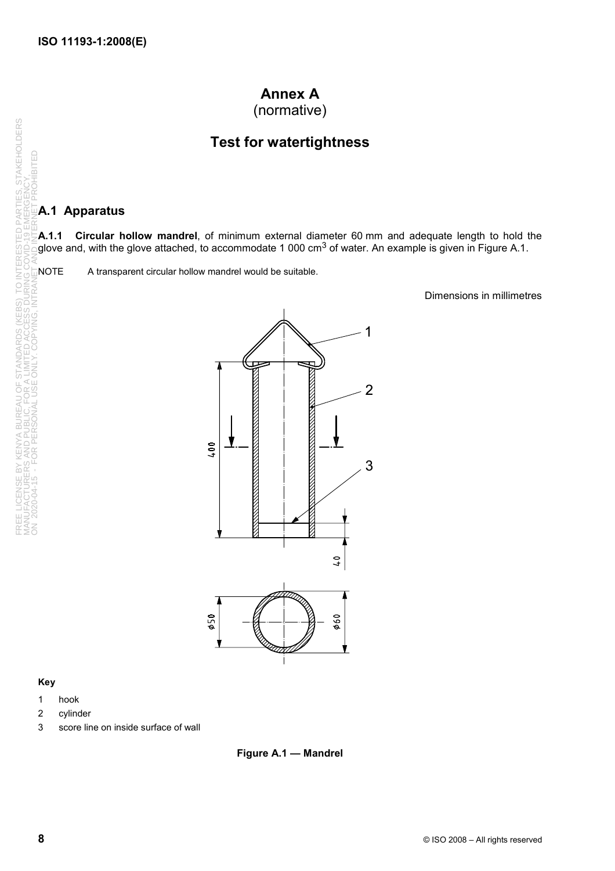# **Annex A**

(normative)

### **Test for watertightness**

#### **A.1 Apparatus**

**A.1.1 Circular hollow mandrel**, of minimum external diameter 60 mm and adequate length to hold the glove and, with the glove attached, to accommodate 1 000 cm<sup>3</sup> of water. An example is given in Figure A.1. ON 2020-04-15 - FOR PERSONAL USE ONLY. COPYING, INTRANET AND INTERNET PROHIBITED

Dimensions in millimetres



#### **Key**

- 1 hook
- 2 cylinder
- 3 score line on inside surface of wall



FREE LICENSE BY KENYA BUREAU OF STANDARDS (KEBS) TO INTERESTED PARTIES, STAKEHOLDERS MANUFACTURERS AND PUBLIC, FOR A LIMITED ACCESS DURING COVID-19 EMERGENCY,

ENSE BY KENYA BUREAU OF STANDARDS (KEB<br>CTURERS AND PUBLIC, FOR A LIMITED ACCESS<br>04-15 - FOR PERSONAL USE ONLY. COPYING, I

TO INTI<br>IRING C

**STAKEHOLDERS** 

**PARTIES, STEMENT** 

읎

OHIBITED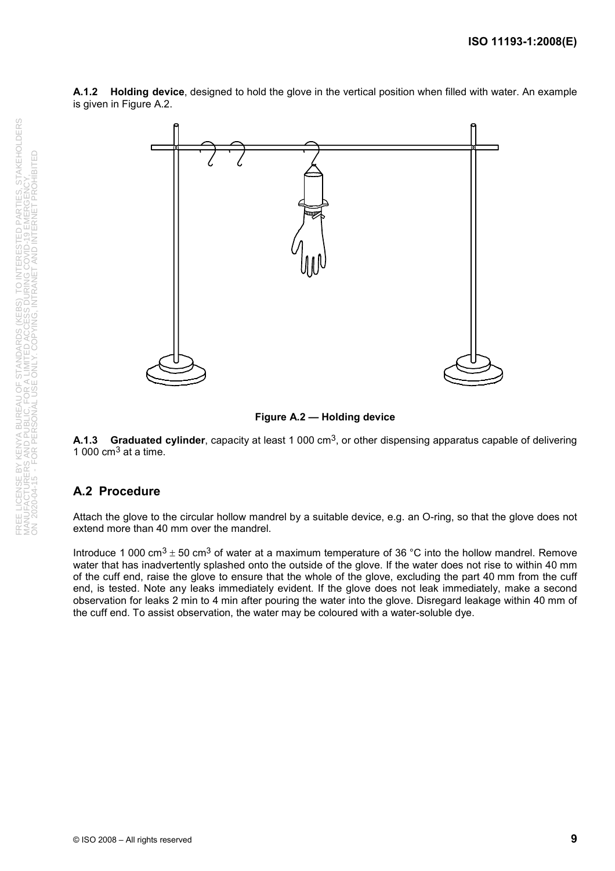



**Figure A.2 — Holding device** 

**A.1.3 Graduated cylinder**, capacity at least 1 000 cm<sup>3</sup>, or other dispensing apparatus capable of delivering 1 000  $\text{cm}^3$  at a time.

#### **A.2 Procedure**

Attach the glove to the circular hollow mandrel by a suitable device, e.g. an O-ring, so that the glove does not extend more than 40 mm over the mandrel.

Introduce 1 000 cm<sup>3</sup>  $\pm$  50 cm<sup>3</sup> of water at a maximum temperature of 36 °C into the hollow mandrel. Remove water that has inadvertently splashed onto the outside of the glove. If the water does not rise to within 40 mm of the cuff end, raise the glove to ensure that the whole of the glove, excluding the part 40 mm from the cuff end, is tested. Note any leaks immediately evident. If the glove does not leak immediately, make a second observation for leaks 2 min to 4 min after pouring the water into the glove. Disregard leakage within 40 mm of the cuff end. To assist observation, the water may be coloured with a water-soluble dye.